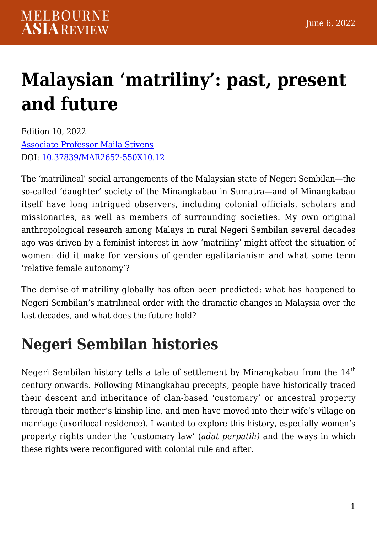# **[Malaysian 'matriliny': past, present](https://melbourneasiareview.edu.au/malaysian-matriliny-past-present-and-future/) [and future](https://melbourneasiareview.edu.au/malaysian-matriliny-past-present-and-future/)**

Edition 10, 2022 [Associate Professor Maila Stivens](https://findanexpert.unimelb.edu.au/profile/13516-maila-stivens) DOI: 10.37839/MAR2652-550X10.12

The 'matrilineal' social arrangements of the Malaysian state of Negeri Sembilan—the so-called 'daughter' society of the Minangkabau in Sumatra—and of Minangkabau itself have long intrigued observers, including colonial officials, scholars and missionaries, as well as members of surrounding societies. My own original anthropological research among Malays in rural Negeri Sembilan several decades ago was driven by a feminist interest in how 'matriliny' might affect the situation of women: did it make for versions of gender egalitarianism and what some term 'relative female autonomy'?

The demise of matriliny globally has often been predicted: what has happened to Negeri Sembilan's matrilineal order with the dramatic changes in Malaysia over the last decades, and what does the future hold?

## **Negeri Sembilan histories**

Negeri Sembilan history tells a tale of settlement by Minangkabau from the  $14<sup>th</sup>$ century onwards. Following Minangkabau precepts, people have historically traced their descent and inheritance of clan-based 'customary' or ancestral property through their mother's kinship line, and men have moved into their wife's village on marriage (uxorilocal residence). I wanted to explore this history, especially women's property rights under the 'customary law' (*adat perpatih)* and the ways in which these rights were reconfigured with colonial rule and after.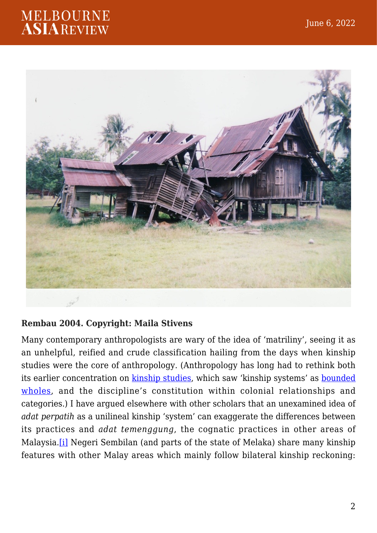

#### **Rembau 2004. Copyright: Maila Stivens**

<span id="page-1-0"></span>Many contemporary anthropologists are wary of the idea of 'matriliny', seeing it as an unhelpful, reified and crude classification hailing from the days when kinship studies were the core of anthropology. (Anthropology has long had to rethink both its earlier concentration on [kinship studies,](https://www.cambridge.org/core/books/after-kinship/BF660970EC79E6A4847E76A38CBE1DB9) which saw 'kinship systems' as [bounded](https://www.anthroencyclopedia.com/entry/matriliny) [wholes,](https://www.anthroencyclopedia.com/entry/matriliny) and the discipline's constitution within colonial relationships and categories.) I have argued elsewhere with other scholars that an unexamined idea of *adat perpatih* as a unilineal kinship 'system' can exaggerate the differences between its practices and *adat temenggung*, the cognatic practices in other areas of Malaysia.[\[i\]](#page--1-0) Negeri Sembilan (and parts of the state of Melaka) share many kinship features with other Malay areas which mainly follow bilateral kinship reckoning: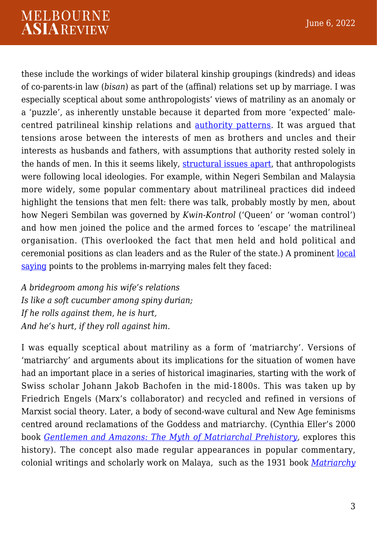these include the workings of wider bilateral kinship groupings (kindreds) and ideas of co-parents-in law (*bisan*) as part of the (affinal) relations set up by marriage. I was especially sceptical about some anthropologists' views of matriliny as an anomaly or a 'puzzle', as inherently unstable because it departed from more 'expected' malecentred patrilineal kinship relations and [authority patterns](https://www.anthroencyclopedia.com/entry/matriliny). It was argued that tensions arose between the interests of men as brothers and uncles and their interests as husbands and fathers, with assumptions that authority rested solely in the hands of men. In this it seems likely, [structural issues apart](https://www.anthroencyclopedia.com/entry/matriliny), that anthropologists were following local ideologies. For example, within Negeri Sembilan and Malaysia more widely, some popular commentary about matrilineal practices did indeed highlight the tensions that men felt: there was talk, probably mostly by men, about how Negeri Sembilan was governed by *Kwin-Kontrol* ('Queen' or 'woman control') and how men joined the police and the armed forces to 'escape' the matrilineal organisation. (This overlooked the fact that men held and hold political and ceremonial positions as clan leaders and as the Ruler of the state.) A prominent [local](https://link.springer.com/content/pdf/bfm%3A978-94-017-6216-8%2F1.pdf) [saying](https://link.springer.com/content/pdf/bfm%3A978-94-017-6216-8%2F1.pdf) points to the problems in-marrying males felt they faced:

*A bridegroom among his wife's relations Is like a soft cucumber among spiny durian; If he rolls against them, he is hurt, And he's hurt, if they roll against him.*

I was equally sceptical about matriliny as a form of 'matriarchy'. Versions of 'matriarchy' and arguments about its implications for the situation of women have had an important place in a series of historical imaginaries, starting with the work of Swiss scholar Johann Jakob Bachofen in the mid-1800s. This was taken up by Friedrich Engels (Marx's collaborator) and recycled and refined in versions of Marxist social theory. Later, a body of second-wave cultural and New Age feminisms centred around reclamations of the Goddess and matriarchy. (Cynthia Eller's 2000 book *[Gentlemen and Amazons: The Myth of Matriarchal Prehistory,](https://california.universitypressscholarship.com/view/10.1525/california/9780520248595.001.0001/upso-9780520248595)* explores this history). The concept also made regular appearances in popular commentary, colonial writings and scholarly work on Malaya, such as the 1931 book *[Matriarchy](https://books.google.com.au/books?id=MxS1AAAAIAAJ&dq=editions:LCCN31018430)*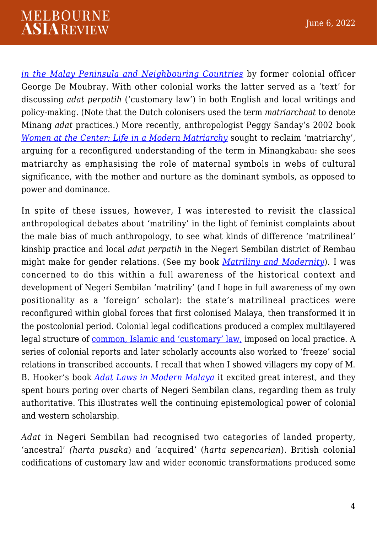*[in the Malay Peninsula and Neighbouring Countries](https://books.google.com.au/books?id=MxS1AAAAIAAJ&dq=editions:LCCN31018430)* by former colonial officer George De Moubray. With other colonial works the latter served as a 'text' for discussing *adat perpatih* ('customary law') in both English and local writings and policy-making. (Note that the Dutch colonisers used the term *matriarchaat* to denote Minang *adat* practices.) More recently, anthropologist Peggy Sanday's 2002 book *[Women at the Center: Life in a Modern Matriarchy](https://www.cornellpress.cornell.edu/book/9780801489068/women-at-the-center/#bookTabs=1)* sought to reclaim 'matriarchy', arguing for a reconfigured understanding of the term in Minangkabau: she sees matriarchy as emphasising the role of maternal symbols in webs of cultural significance, with the mother and nurture as the dominant symbols, as opposed to power and dominance.

In spite of these issues, however, I was interested to revisit the classical anthropological debates about 'matriliny' in the light of feminist complaints about the male bias of much anthropology, to see what kinds of difference 'matrilineal' kinship practice and local *adat perpatih* in the Negeri Sembilan district of Rembau might make for gender relations. (See my book *[Matriliny and Modernity](https://books.google.com.au/books/about/Matriliny_and_Modernity.html?id=zZ5tQgAACAAJ&source=kp_book_description&redir_esc=y)*)*.* I was concerned to do this within a full awareness of the historical context and development of Negeri Sembilan 'matriliny' (and I hope in full awareness of my own positionality as a 'foreign' scholar): the state's matrilineal practices were reconfigured within global forces that first colonised Malaya, then transformed it in the postcolonial period. Colonial legal codifications produced a complex multilayered legal structure of [common, Islamic and 'customary' law,](https://doi.org/10.1093/ojlr/rwt035) imposed on local practice. A series of colonial reports and later scholarly accounts also worked to 'freeze' social relations in transcribed accounts. I recall that when I showed villagers my copy of M. B. Hooker's book *[Adat Laws in Modern Malaya](https://books.google.com.au/books/about/Adat_Laws_in_Modern_Malaysia.html?id=NxXUNwAACAAJ&redir_esc=y)* it excited great interest, and they spent hours poring over charts of Negeri Sembilan clans, regarding them as truly authoritative. This illustrates well the continuing epistemological power of colonial and western scholarship.

*Adat* in Negeri Sembilan had recognised two categories of landed property, 'ancestral' *(harta pusaka*) and 'acquired' (*harta sepencarian*). British colonial codifications of customary law and wider economic transformations produced some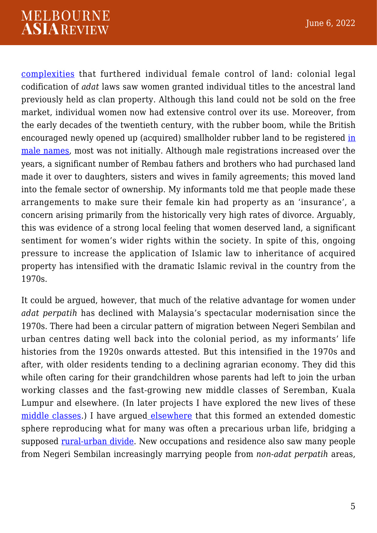[complexities](https://www.google.com.au/books/edition/Matriliny_and_Modernity/zZ5tQgAACAAJ?hl=en) that furthered individual female control of land: colonial legal codification of *adat* laws saw women granted individual titles to the ancestral land previously held as clan property. Although this land could not be sold on the free market, individual women now had extensive control over its use. Moreover, from the early decades of the twentieth century, with the rubber boom, while the British encouraged newly opened up (acquired) smallholder rubber land to be registered [in](https://publishing.cdlib.org/ucpressebooks/view?docId=ft6m3nb481;query=;brand=ucpress) [male names](https://publishing.cdlib.org/ucpressebooks/view?docId=ft6m3nb481;query=;brand=ucpress), most was not initially. Although male registrations increased over the years, a significant number of Rembau fathers and brothers who had purchased land made it over to daughters, sisters and wives in family agreements; this moved land into the female sector of ownership. My informants told me that people made these arrangements to make sure their female kin had property as an 'insurance', a concern arising primarily from the historically very high rates of divorce. Arguably, this was evidence of a strong local feeling that women deserved land, a significant sentiment for women's wider rights within the society. In spite of this, ongoing pressure to increase the application of Islamic law to inheritance of acquired property has intensified with the dramatic Islamic revival in the country from the 1970s.

It could be argued, however, that much of the relative advantage for women under *adat perpatih* has declined with Malaysia's spectacular modernisation since the 1970s. There had been a circular pattern of migration between Negeri Sembilan and urban centres dating well back into the colonial period, as my informants' life histories from the 1920s onwards attested. But this intensified in the 1970s and after, with older residents tending to a declining agrarian economy. They did this while often caring for their grandchildren whose parents had left to join the urban working classes and the fast-growing new middle classes of Seremban, Kuala Lumpur and elsewhere. (In later projects I have explored the new lives of these [middle classes](https://www.taylorfrancis.com/chapters/edit/10.4324/9781003118411-2/becoming-modern-malaysia-women-end-twentieth-century-maila-stivens?context=ubx&refId=bd2fe46c-e241-4db5-b0de-37e0e5fcf627).) I have argued [elsewhere](https://link.springer.com/chapter/10.1007/978-94-007-5482-9_9) that this formed an extended domestic sphere reproducing what for many was often a precarious urban life, bridging a supposed [rural-urban divide](https://doi.org/10.1007/978-94-007-5482-9_9). New occupations and residence also saw many people from Negeri Sembilan increasingly marrying people from *non-adat perpatih* areas,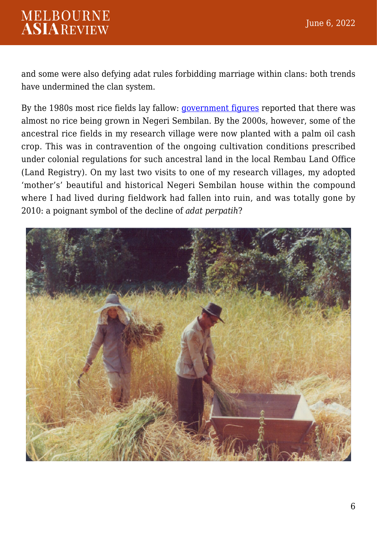and some were also defying adat rules forbidding marriage within clans: both trends have undermined the clan system.

By the 1980s most rice fields lay fallow: [government figures](https://doi.org/10.1007/978-94-007-5482-9_9) reported that there was almost no rice being grown in Negeri Sembilan. By the 2000s, however, some of the ancestral rice fields in my research village were now planted with a palm oil cash crop. This was in contravention of the ongoing cultivation conditions prescribed under colonial regulations for such ancestral land in the local Rembau Land Office (Land Registry). On my last two visits to one of my research villages, my adopted 'mother's' beautiful and historical Negeri Sembilan house within the compound where I had lived during fieldwork had fallen into ruin, and was totally gone by 2010: a poignant symbol of the decline of *adat perpatih*?

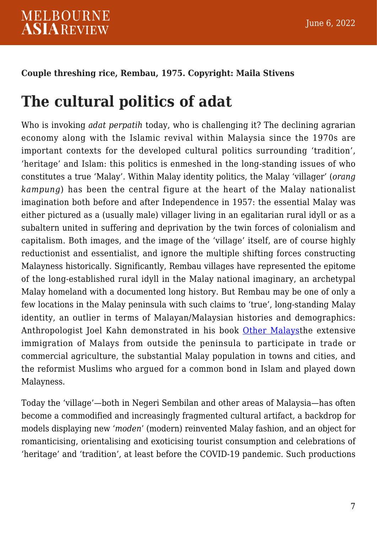#### **Couple threshing rice, Rembau, 1975. Copyright: Maila Stivens**

## **The cultural politics of adat**

Who is invoking *adat perpatih* today, who is challenging it? The declining agrarian economy along with the Islamic revival within Malaysia since the 1970s are important contexts for the developed cultural politics surrounding 'tradition', 'heritage' and Islam: this politics is enmeshed in the long-standing issues of who constitutes a true 'Malay'. Within Malay identity politics, the Malay 'villager' (*orang kampung*) has been the central figure at the heart of the Malay nationalist imagination both before and after Independence in 1957: the essential Malay was either pictured as a (usually male) villager living in an egalitarian rural idyll or as a subaltern united in suffering and deprivation by the twin forces of colonialism and capitalism. Both images, and the image of the 'village' itself, are of course highly reductionist and essentialist, and ignore the multiple shifting forces constructing Malayness historically. Significantly, Rembau villages have represented the epitome of the long-established rural idyll in the Malay national imaginary, an archetypal Malay homeland with a documented long history. But Rembau may be one of only a few locations in the Malay peninsula with such claims to 'true', long-standing Malay identity, an outlier in terms of Malayan/Malaysian histories and demographics: Anthropologist Joel Kahn demonstrated in his book [Other Malays](https://nuspress.nus.edu.sg/products/other-malays)the extensive immigration of Malays from outside the peninsula to participate in trade or commercial agriculture, the substantial Malay population in towns and cities, and the reformist Muslims who argued for a common bond in Islam and played down Malayness.

Today the 'village'—both in Negeri Sembilan and other areas of Malaysia—has often become a commodified and increasingly fragmented cultural artifact, a backdrop for models displaying new '*moden*' (modern) reinvented Malay fashion, and an object for romanticising, orientalising and exoticising tourist consumption and celebrations of 'heritage' and 'tradition', at least before the COVID-19 pandemic. Such productions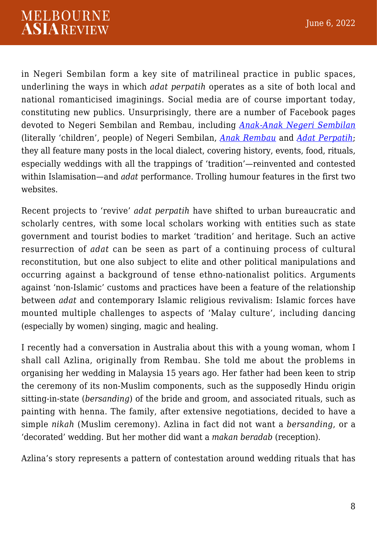in Negeri Sembilan form a key site of matrilineal practice in public spaces, underlining the ways in which *adat perpatih* operates as a site of both local and national romanticised imaginings. Social media are of course important today, constituting new publics. Unsurprisingly, there are a number of Facebook pages devoted to Negeri Sembilan and Rembau, including *[Anak-Anak Negeri Sembilan](https://www.facebook.com/negerisembilan/)* (literally 'children', people) of Negeri Sembilan, *[Anak Rembau](https://www.facebook.com/AnakRembau/)* and *[Adat Perpatih](https://www.facebook.com/Adat.Perpatih/)*; they all feature many posts in the local dialect, covering history, events, food, rituals, especially weddings with all the trappings of 'tradition'—reinvented and contested within Islamisation—and *adat* performance. Trolling humour features in the first two websites.

Recent projects to 'revive' *adat perpatih* have shifted to urban bureaucratic and scholarly centres, with some local scholars working with entities such as state government and tourist bodies to market 'tradition' and heritage. Such an active resurrection of *adat* can be seen as part of a continuing process of cultural reconstitution, but one also subject to elite and other political manipulations and occurring against a background of tense ethno-nationalist politics. Arguments against 'non-Islamic' customs and practices have been a feature of the relationship between *adat* and contemporary Islamic religious revivalism: Islamic forces have mounted multiple challenges to aspects of 'Malay culture', including dancing (especially by women) singing, magic and healing.

I recently had a conversation in Australia about this with a young woman, whom I shall call Azlina, originally from Rembau. She told me about the problems in organising her wedding in Malaysia 15 years ago. Her father had been keen to strip the ceremony of its non-Muslim components, such as the supposedly Hindu origin sitting-in-state (*bersanding*) of the bride and groom, and associated rituals, such as painting with henna. The family, after extensive negotiations, decided to have a simple *nikah* (Muslim ceremony). Azlina in fact did not want a *bersanding*, or a 'decorated' wedding. But her mother did want a *makan beradab* (reception).

Azlina's story represents a pattern of contestation around wedding rituals that has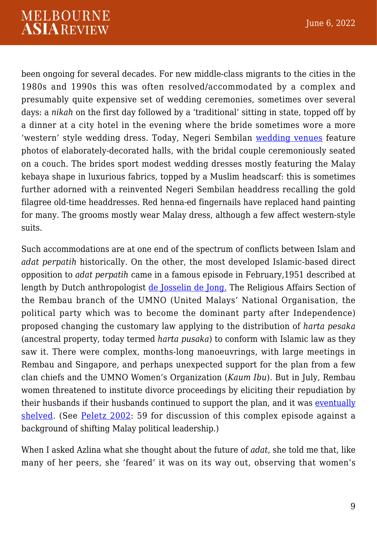been ongoing for several decades. For new middle-class migrants to the cities in the 1980s and 1990s this was often resolved/accommodated by a complex and presumably quite expensive set of wedding ceremonies, sometimes over several days: a *nikah* on the first day followed by a 'traditional' sitting in state, topped off by a dinner at a city hotel in the evening where the bride sometimes wore a more 'western' style wedding dress. Today, Negeri Sembilan [wedding venues](https://www.instagram.com/lamanputehbydliajane/?utm_medium=copy_link) feature photos of elaborately-decorated halls, with the bridal couple ceremoniously seated on a couch. The brides sport modest wedding dresses mostly featuring the Malay kebaya shape in luxurious fabrics, topped by a Muslim headscarf: this is sometimes further adorned with a reinvented Negeri Sembilan headdress recalling the gold filagree old-time headdresses. Red henna-ed fingernails have replaced hand painting for many. The grooms mostly wear Malay dress, although a few affect western-style suits.

Such accommodations are at one end of the spectrum of conflicts between Islam and *adat perpatih* historically. On the other, the most developed Islamic-based direct opposition to *adat perpatih* came in a famous episode in February,1951 described at length by Dutch anthropologist [de Josselin de Jong.](https://www.researchgate.net/publication/41018528_Islam_versus_adat_in_Negri_Sembilan_Malaya_Met_1_figuur) The Religious Affairs Section of the Rembau branch of the UMNO (United Malays' National Organisation, the political party which was to become the dominant party after Independence) proposed changing the customary law applying to the distribution of *harta pesaka* (ancestral property, today termed *harta pusaka*) to conform with Islamic law as they saw it. There were complex, months-long manoeuvrings, with large meetings in Rembau and Singapore, and perhaps unexpected support for the plan from a few clan chiefs and the UMNO Women's Organization (*Kaum Ibu*). But in July, Rembau women threatened to institute divorce proceedings by eliciting their repudiation by their husbands if their husbands continued to support the plan, and it was [eventually](https://press.princeton.edu/books/paperback/9780691095080/islamic-modern) [shelved.](https://press.princeton.edu/books/paperback/9780691095080/islamic-modern) (See [Peletz 2002:](https://press.princeton.edu/books/paperback/9780691095080/islamic-modern) 59 for discussion of this complex episode against a background of shifting Malay political leadership.)

When I asked Azlina what she thought about the future of *adat*, she told me that, like many of her peers, she 'feared' it was on its way out, observing that women's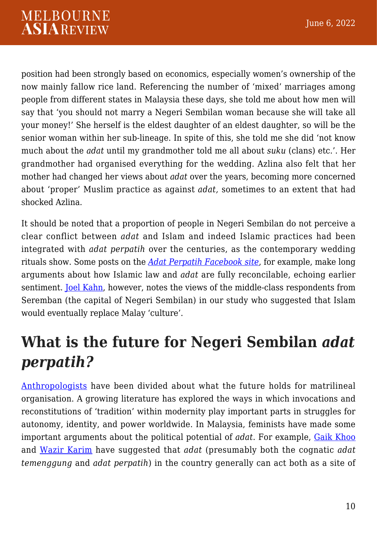position had been strongly based on economics, especially women's ownership of the now mainly fallow rice land. Referencing the number of 'mixed' marriages among people from different states in Malaysia these days, she told me about how men will say that 'you should not marry a Negeri Sembilan woman because she will take all your money!' She herself is the eldest daughter of an eldest daughter, so will be the senior woman within her sub-lineage. In spite of this, she told me she did 'not know much about the *adat* until my grandmother told me all about *suku* (clans) etc.'. Her grandmother had organised everything for the wedding. Azlina also felt that her mother had changed her views about *adat* over the years, becoming more concerned about 'proper' Muslim practice as against *adat,* sometimes to an extent that had shocked Azlina.

It should be noted that a proportion of people in Negeri Sembilan do not perceive a clear conflict between *adat* and Islam and indeed Islamic practices had been integrated with *adat perpatih* over the centuries, as the contemporary wedding rituals show. Some posts on the *[Adat Perpatih Facebook site](https://www.facebook.com/Adat.Perpatih/)*, for example, make long arguments about how Islamic law and *adat* are fully reconcilable, echoing earlier sentiment. **Joel Kahn**, however, notes the views of the middle-class respondents from Seremban (the capital of Negeri Sembilan) in our study who suggested that Islam would eventually replace Malay 'culture'.

## **What is the future for Negeri Sembilan** *adat perpatih?*

[Anthropologists](https://www.anthro.ox.ac.uk/sites/default/files/anthro/documents/media/jaso12_2_2020_224_237.pdf) have been divided about what the future holds for matrilineal organisation. A growing literature has explored the ways in which invocations and reconstitutions of 'tradition' within modernity play important parts in struggles for autonomy, identity, and power worldwide. In Malaysia, feminists have made some important arguments about the political potential of *adat*. For example, [Gaik Khoo](https://www.ubcpress.ca/reclaiming-adat) and [Wazir Karim](https://www.worldcat.org/title/women-and-culture-between-malay-adat-and-islam/oclc/24667289) have suggested that *adat* (presumably both the cognatic *adat temenggung* and *adat perpatih*) in the country generally can act both as a site of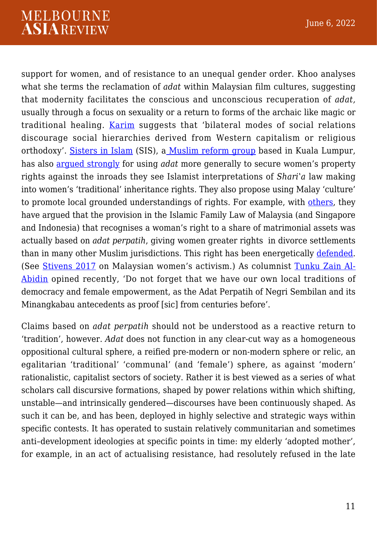support for women, and of resistance to an unequal gender order. Khoo analyses what she terms the reclamation of *adat* within Malaysian film cultures, suggesting that modernity facilitates the conscious and unconscious recuperation of *adat,* usually through a focus on sexuality or a return to forms of the archaic like magic or traditional healing. [Karim](https://www.worldcat.org/title/women-and-culture-between-malay-adat-and-islam/oclc/24667289) suggests that 'bilateral modes of social relations discourage social hierarchies derived from Western capitalism or religious orthodoxy'. [Sisters in Islam](https://sistersinislam.org/) (SIS), [a Muslim reform group](https://uwapress.uw.edu/book/9780295995328/humanizing-the-sacred/#:~:text=Based%20on%20ethnographic%20research%20of,codes%20and%20reconceptualize%20gender%20discourses) based in Kuala Lumpur, has also [argued strongly](https://uwapress.uw.edu/book/9780295995328/humanizing-the-sacred/#:~:text=Based%20on%20ethnographic%20research%20of,codes%20and%20reconceptualize%20gender%20discourses) for using *adat* more generally to secure women's property rights against the inroads they see Islamist interpretations of *Shari'a* law making into women's 'traditional' inheritance rights. They also propose using Malay 'culture' to promote local grounded understandings of rights. For example, with [others](https://doi.org/10.22452/sejarah.vol15no15.8), they have argued that the provision in the Islamic Family Law of Malaysia (and Singapore and Indonesia) that recognises a woman's right to a share of matrimonial assets was actually based on *adat perpatih*, giving women greater rights in divorce settlements than in many other Muslim jurisdictions. This right has been energetically [defended.](https://scholarlycommons.law.wlu.edu/cgi/viewcontent.cgi?referer=&httpsredir=1&article=1217&context=wlulr) (See [Stivens 2017](https://oxford.universitypressscholarship.com/view/10.1093/oso/9780198788553.001.0001/oso-9780198788553-chapter-12) on Malaysian women's activism.) As columnist [Tunku Zain Al-](https://www.thestar.com.my/opinion/columnists/abidinideas/2022/03/11/vital-to-strive-for-gender-equality)[Abidin](https://www.thestar.com.my/opinion/columnists/abidinideas/2022/03/11/vital-to-strive-for-gender-equality) opined recently, 'Do not forget that we have our own local traditions of democracy and female empowerment, as the Adat Perpatih of Negri Sembilan and its Minangkabau antecedents as proof [sic] from centuries before'.

Claims based on *adat perpatih* should not be understood as a reactive return to 'tradition', however. *Adat* does not function in any clear-cut way as a homogeneous oppositional cultural sphere, a reified pre-modern or non-modern sphere or relic, an egalitarian 'traditional' 'communal' (and 'female') sphere, as against 'modern' rationalistic, capitalist sectors of society. Rather it is best viewed as a series of what scholars call discursive formations, shaped by power relations within which shifting, unstable—and intrinsically gendered—discourses have been continuously shaped. As such it can be, and has been, deployed in highly selective and strategic ways within specific contests. It has operated to sustain relatively communitarian and sometimes anti*–*development ideologies at specific points in time: my elderly 'adopted mother', for example, in an act of actualising resistance, had resolutely refused in the late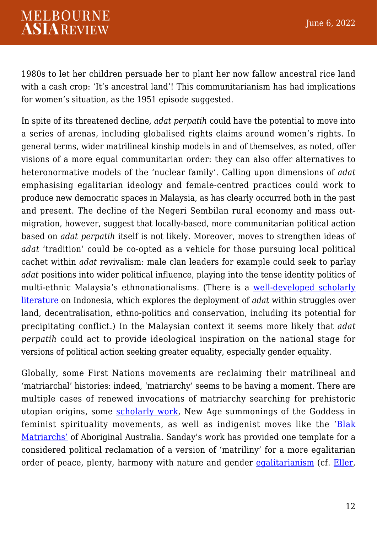1980s to let her children persuade her to plant her now fallow ancestral rice land with a cash crop: 'It's ancestral land'! This communitarianism has had implications for women's situation, as the 1951 episode suggested.

In spite of its threatened decline, *adat perpatih* could have the potential to move into a series of arenas*,* including globalised rights claims around women's rights. In general terms, wider matrilineal kinship models in and of themselves, as noted, offer visions of a more equal communitarian order: they can also offer alternatives to heteronormative models of the 'nuclear family'. Calling upon dimensions of *adat* emphasising egalitarian ideology and female-centred practices could work to produce new democratic spaces in Malaysia, as has clearly occurred both in the past and present. The decline of the Negeri Sembilan rural economy and mass outmigration, however, suggest that locally-based, more communitarian political action based on *adat perpatih* itself is not likely. Moreover, moves to strengthen ideas of *adat* 'tradition' could be co-opted as a vehicle for those pursuing local political cachet within *adat* revivalism: male clan leaders for example could seek to parlay *adat* positions into wider political influence, playing into the tense identity politics of multi-ethnic Malaysia's ethnonationalisms. (There is a [well-developed scholarly](https://www.routledge.com/The-Revival-of-Tradition-in-Indonesian-Politics-The-Deployment-of-Adat/Davidson-Henley/p/book/9780415542081) [literature](https://www.routledge.com/The-Revival-of-Tradition-in-Indonesian-Politics-The-Deployment-of-Adat/Davidson-Henley/p/book/9780415542081) on Indonesia, which explores the deployment of *adat* within struggles over land, decentralisation, ethno-politics and conservation, including its potential for precipitating conflict.) In the Malaysian context it seems more likely that *adat perpatih* could act to provide ideological inspiration on the national stage for versions of political action seeking greater equality, especially gender equality.

Globally, some First Nations movements are reclaiming their matrilineal and 'matriarchal' histories: indeed, 'matriarchy' seems to be having a moment. There are multiple cases of renewed invocations of matriarchy searching for prehistoric utopian origins, some **[scholarly work](https://doi.org/10.1080/12259276.2017.1421293)**, New Age summonings of the Goddess in feminist spirituality movements, as well as indigenist moves like the '[Blak](https://futurewomen.com/culture-2/change-is-coming-for-women-in-australia-will-it-include-all-of-us/) [Matriarchs'](https://futurewomen.com/culture-2/change-is-coming-for-women-in-australia-will-it-include-all-of-us/) of Aboriginal Australia. Sanday's work has provided one template for a considered political reclamation of a version of 'matriliny' for a more egalitarian order of peace, plenty, harmony with nature and gender [egalitarianism](https://california.universitypressscholarship.com/view/10.1525/california/9780520248595.001.0001/upso-9780520248595) (cf. [Eller,](https://california.universitypressscholarship.com/view/10.1525/california/9780520248595.001.0001/upso-9780520248595)